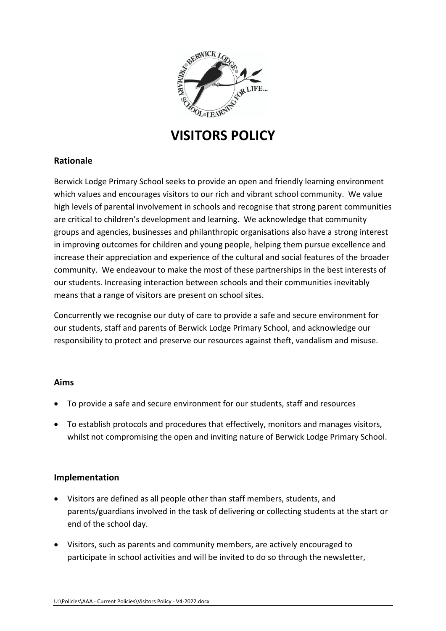

# **VISITORS POLICY**

# **Rationale**

Berwick Lodge Primary School seeks to provide an open and friendly learning environment which values and encourages visitors to our rich and vibrant school community. We value high levels of parental involvement in schools and recognise that strong parent communities are critical to children's development and learning. We acknowledge that community groups and agencies, businesses and philanthropic organisations also have a strong interest in improving outcomes for children and young people, helping them pursue excellence and increase their appreciation and experience of the cultural and social features of the broader community. We endeavour to make the most of these partnerships in the best interests of our students. Increasing interaction between schools and their communities inevitably means that a range of visitors are present on school sites.

Concurrently we recognise our duty of care to provide a safe and secure environment for our students, staff and parents of Berwick Lodge Primary School, and acknowledge our responsibility to protect and preserve our resources against theft, vandalism and misuse.

## **Aims**

- To provide a safe and secure environment for our students, staff and resources
- To establish protocols and procedures that effectively, monitors and manages visitors, whilst not compromising the open and inviting nature of Berwick Lodge Primary School.

## **Implementation**

- Visitors are defined as all people other than staff members, students, and parents/guardians involved in the task of delivering or collecting students at the start or end of the school day.
- Visitors, such as parents and community members, are actively encouraged to participate in school activities and will be invited to do so through the newsletter,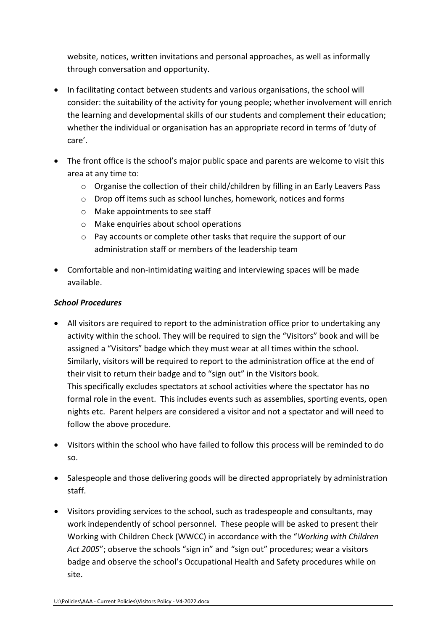website, notices, written invitations and personal approaches, as well as informally through conversation and opportunity.

- In facilitating contact between students and various organisations, the school will consider: the suitability of the activity for young people; whether involvement will enrich the learning and developmental skills of our students and complement their education; whether the individual or organisation has an appropriate record in terms of 'duty of care'.
- The front office is the school's major public space and parents are welcome to visit this area at any time to:
	- $\circ$  Organise the collection of their child/children by filling in an Early Leavers Pass
	- o Drop off items such as school lunches, homework, notices and forms
	- o Make appointments to see staff
	- o Make enquiries about school operations
	- o Pay accounts or complete other tasks that require the support of our administration staff or members of the leadership team
- Comfortable and non-intimidating waiting and interviewing spaces will be made available.

## *School Procedures*

- All visitors are required to report to the administration office prior to undertaking any activity within the school. They will be required to sign the "Visitors" book and will be assigned a "Visitors" badge which they must wear at all times within the school. Similarly, visitors will be required to report to the administration office at the end of their visit to return their badge and to "sign out" in the Visitors book. This specifically excludes spectators at school activities where the spectator has no formal role in the event. This includes events such as assemblies, sporting events, open nights etc. Parent helpers are considered a visitor and not a spectator and will need to follow the above procedure.
- Visitors within the school who have failed to follow this process will be reminded to do so.
- Salespeople and those delivering goods will be directed appropriately by administration staff.
- Visitors providing services to the school, such as tradespeople and consultants, may work independently of school personnel. These people will be asked to present their Working with Children Check (WWCC) in accordance with the "*Working with Children Act 2005*"; observe the schools "sign in" and "sign out" procedures; wear a visitors badge and observe the school's Occupational Health and Safety procedures while on site.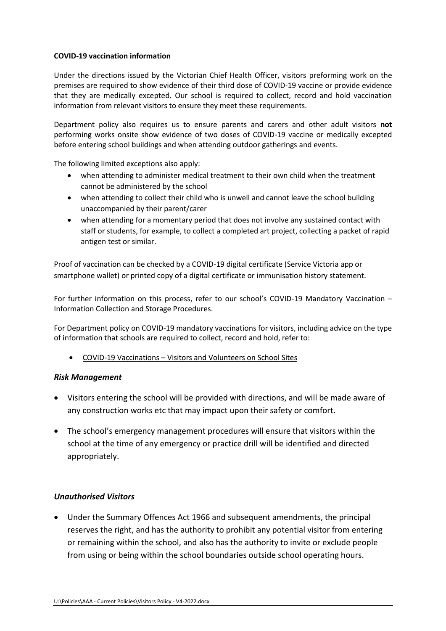#### **COVID-19 vaccination information**

Under the directions issued by the Victorian Chief Health Officer, visitors preforming work on the premises are required to show evidence of their third dose of COVID-19 vaccine or provide evidence that they are medically excepted. Our school is required to collect, record and hold vaccination information from relevant visitors to ensure they meet these requirements.

Department policy also requires us to ensure parents and carers and other adult visitors **not** performing works onsite show evidence of two doses of COVID-19 vaccine or medically excepted before entering school buildings and when attending outdoor gatherings and events.

The following limited exceptions also apply:

- when attending to administer medical treatment to their own child when the treatment cannot be administered by the school
- when attending to collect their child who is unwell and cannot leave the school building unaccompanied by their parent/carer
- when attending for a momentary period that does not involve any sustained contact with staff or students, for example, to collect a completed art project, collecting a packet of rapid antigen test or similar.

Proof of vaccination can be checked by a COVID-19 digital certificate (Service Victoria app or smartphone wallet) or printed copy of a digital certificate or immunisation history statement.

For further information on this process, refer to our school's COVID-19 Mandatory Vaccination – Information Collection and Storage Procedures.

For Department policy on COVID-19 mandatory vaccinations for visitors, including advice on the type of information that schools are required to collect, record and hold, refer to:

• COVID-19 Vaccinations – [Visitors and Volunteers on School Sites](https://www2.education.vic.gov.au/pal/covid-19-vaccinations-visitors-volunteers/policy)

#### *Risk Management*

- Visitors entering the school will be provided with directions, and will be made aware of any construction works etc that may impact upon their safety or comfort.
- The school's emergency management procedures will ensure that visitors within the school at the time of any emergency or practice drill will be identified and directed appropriately.

#### *Unauthorised Visitors*

• Under the Summary Offences Act 1966 and subsequent amendments, the principal reserves the right, and has the authority to prohibit any potential visitor from entering or remaining within the school, and also has the authority to invite or exclude people from using or being within the school boundaries outside school operating hours.